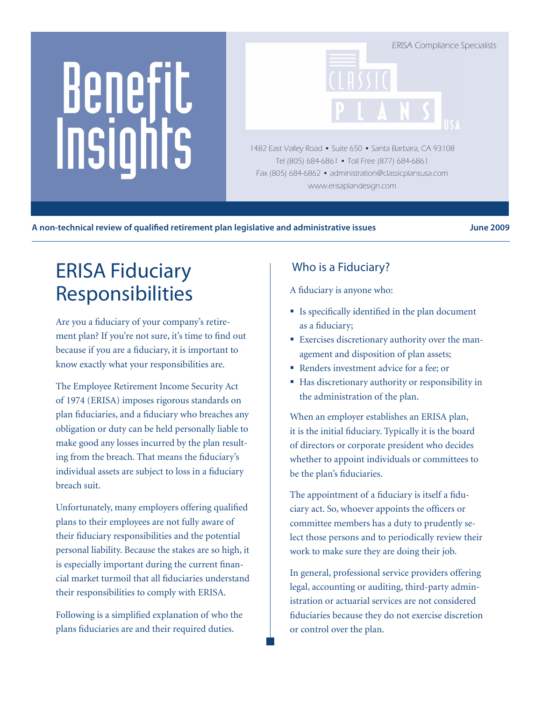# Benefit Insights

ERISA Compliance Specialists

1482 East Valley Road • Suite 650 • Santa Barbara, CA 93108 Tel (805) 684-6861 • Toll Free (877) 684-6861 Fax (805) 684-6862 • administration@classicplansusa.com www.erisaplandesign.com

#### A non-technical review of qualified retirement plan legislative and administrative issues **June 2009**

# ERISA Fiduciary Responsibilities

Are you a fiduciary of your company's retirement plan? If you're not sure, it's time to find out because if you are a fiduciary, it is important to know exactly what your responsibilities are.

The Employee Retirement Income Security Act of 1974 (ERISA) imposes rigorous standards on plan fiduciaries, and a fiduciary who breaches any obligation or duty can be held personally liable to make good any losses incurred by the plan resulting from the breach. That means the fiduciary's individual assets are subject to loss in a fiduciary breach suit.

Unfortunately, many employers offering qualified plans to their employees are not fully aware of their fiduciary responsibilities and the potential personal liability. Because the stakes are so high, it is especially important during the current financial market turmoil that all fiduciaries understand their responsibilities to comply with ERISA.

Following is a simplified explanation of who the plans fiduciaries are and their required duties.

# Who is a Fiduciary?

A fiduciary is anyone who:

- $\blacksquare$  Is specifically identified in the plan document as a fiduciary;
- Exercises discretionary authority over the management and disposition of plan assets;
- Renders investment advice for a fee; or
- Has discretionary authority or responsibility in the administration of the plan.

When an employer establishes an ERISA plan, it is the initial fiduciary. Typically it is the board of directors or corporate president who decides whether to appoint individuals or committees to be the plan's fiduciaries.

The appointment of a fiduciary is itself a fiduciary act. So, whoever appoints the officers or committee members has a duty to prudently select those persons and to periodically review their work to make sure they are doing their job.

In general, professional service providers offering legal, accounting or auditing, third-party administration or actuarial services are not considered fiduciaries because they do not exercise discretion or control over the plan.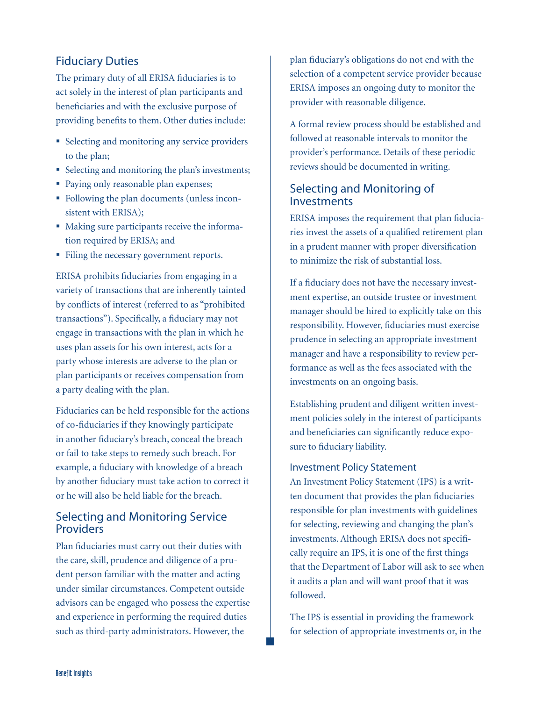# Fiduciary Duties

The primary duty of all ERISA fiduciaries is to act solely in the interest of plan participants and beneficiaries and with the exclusive purpose of providing benefits to them. Other duties include:

- Selecting and monitoring any service providers to the plan;
- Selecting and monitoring the plan's investments;
- Paying only reasonable plan expenses;
- Following the plan documents (unless inconsistent with ERISA);
- Making sure participants receive the information required by ERISA; and
- Filing the necessary government reports.

ERISA prohibits fiduciaries from engaging in a variety of transactions that are inherently tainted by conflicts of interest (referred to as "prohibited transactions"). Specifically, a fiduciary may not engage in transactions with the plan in which he uses plan assets for his own interest, acts for a party whose interests are adverse to the plan or plan participants or receives compensation from a party dealing with the plan.

Fiduciaries can be held responsible for the actions of co-fiduciaries if they knowingly participate in another fiduciary's breach, conceal the breach or fail to take steps to remedy such breach. For example, a fiduciary with knowledge of a breach by another fiduciary must take action to correct it or he will also be held liable for the breach.

# Selecting and Monitoring Service **Providers**

Plan fiduciaries must carry out their duties with the care, skill, prudence and diligence of a prudent person familiar with the matter and acting under similar circumstances. Competent outside advisors can be engaged who possess the expertise and experience in performing the required duties such as third-party administrators. However, the

plan fiduciary's obligations do not end with the selection of a competent service provider because ERISA imposes an ongoing duty to monitor the provider with reasonable diligence.

A formal review process should be established and followed at reasonable intervals to monitor the provider's performance. Details of these periodic reviews should be documented in writing.

# Selecting and Monitoring of **Investments**

ERISA imposes the requirement that plan fiduciaries invest the assets of a qualified retirement plan in a prudent manner with proper diversification to minimize the risk of substantial loss.

If a fiduciary does not have the necessary investment expertise, an outside trustee or investment manager should be hired to explicitly take on this responsibility. However, fiduciaries must exercise prudence in selecting an appropriate investment manager and have a responsibility to review performance as well as the fees associated with the investments on an ongoing basis.

Establishing prudent and diligent written investment policies solely in the interest of participants and beneficiaries can significantly reduce exposure to fiduciary liability.

#### Investment Policy Statement

An Investment Policy Statement (IPS) is a written document that provides the plan fiduciaries responsible for plan investments with guidelines for selecting, reviewing and changing the plan's investments. Although ERISA does not specifically require an IPS, it is one of the first things that the Department of Labor will ask to see when it audits a plan and will want proof that it was followed.

The IPS is essential in providing the framework for selection of appropriate investments or, in the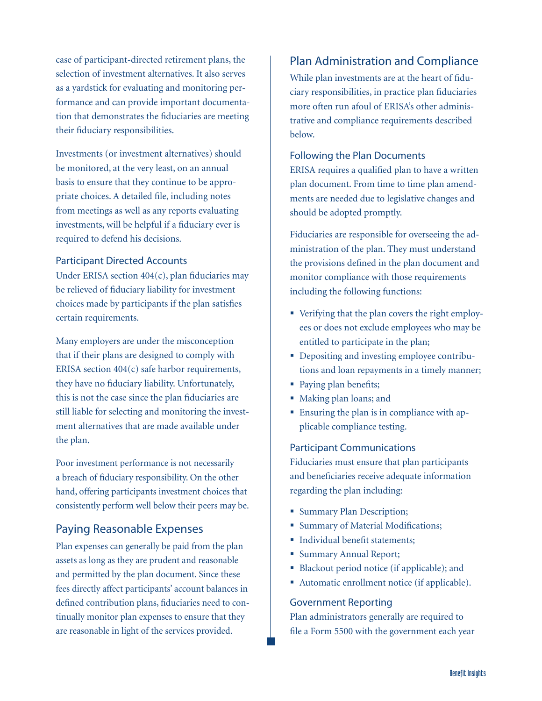case of participant-directed retirement plans, the selection of investment alternatives. It also serves as a yardstick for evaluating and monitoring performance and can provide important documentation that demonstrates the fiduciaries are meeting their fiduciary responsibilities.

Investments (or investment alternatives) should be monitored, at the very least, on an annual basis to ensure that they continue to be appropriate choices. A detailed file, including notes from meetings as well as any reports evaluating investments, will be helpful if a fiduciary ever is required to defend his decisions.

#### Participant Directed Accounts

Under ERISA section 404(c), plan fiduciaries may be relieved of fiduciary liability for investment choices made by participants if the plan satisfies certain requirements.

Many employers are under the misconception that if their plans are designed to comply with ERISA section 404(c) safe harbor requirements, they have no fiduciary liability. Unfortunately, this is not the case since the plan fiduciaries are still liable for selecting and monitoring the investment alternatives that are made available under the plan.

Poor investment performance is not necessarily a breach of fiduciary responsibility. On the other hand, offering participants investment choices that consistently perform well below their peers may be.

#### Paying Reasonable Expenses

Plan expenses can generally be paid from the plan assets as long as they are prudent and reasonable and permitted by the plan document. Since these fees directly affect participants' account balances in defined contribution plans, fiduciaries need to continually monitor plan expenses to ensure that they are reasonable in light of the services provided.

### Plan Administration and Compliance

While plan investments are at the heart of fiduciary responsibilities, in practice plan fiduciaries more often run afoul of ERISA's other administrative and compliance requirements described below.

#### Following the Plan Documents

ERISA requires a qualified plan to have a written plan document. From time to time plan amendments are needed due to legislative changes and should be adopted promptly.

Fiduciaries are responsible for overseeing the administration of the plan. They must understand the provisions defined in the plan document and monitor compliance with those requirements including the following functions:

- Verifying that the plan covers the right employees or does not exclude employees who may be entitled to participate in the plan;
- Depositing and investing employee contributions and loan repayments in a timely manner;
- Paying plan benefits;
- Making plan loans; and
- Ensuring the plan is in compliance with applicable compliance testing.

#### Participant Communications

Fiduciaries must ensure that plan participants and beneficiaries receive adequate information regarding the plan including:

- **Summary Plan Description;**
- **Summary of Material Modifications;**
- Individual benefit statements;
- Summary Annual Report;
- Blackout period notice (if applicable); and
- Automatic enrollment notice (if applicable).

#### Government Reporting

Plan administrators generally are required to file a Form 5500 with the government each year